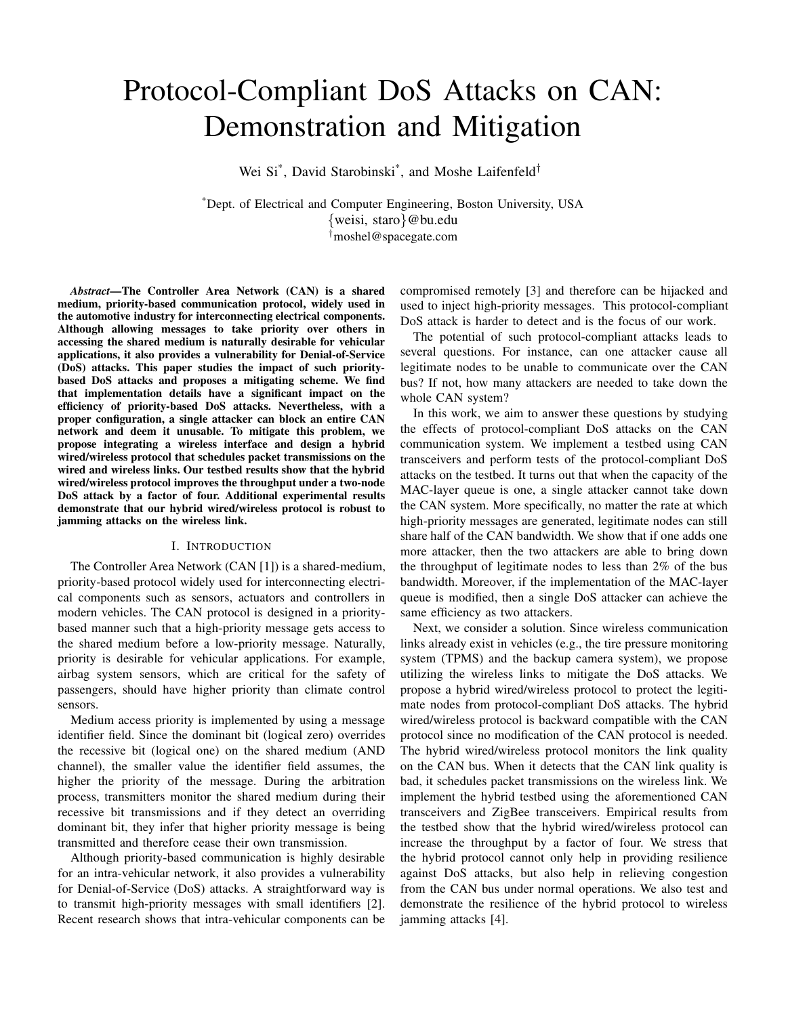# Protocol-Compliant DoS Attacks on CAN: Demonstration and Mitigation

Wei Si<sup>\*</sup>, David Starobinski<sup>\*</sup>, and Moshe Laifenfeld<sup>†</sup>

\*Dept. of Electrical and Computer Engineering, Boston University, USA {weisi, staro}@bu.edu †moshel@spacegate.com

*Abstract*—The Controller Area Network (CAN) is a shared medium, priority-based communication protocol, widely used in the automotive industry for interconnecting electrical components. Although allowing messages to take priority over others in accessing the shared medium is naturally desirable for vehicular applications, it also provides a vulnerability for Denial-of-Service (DoS) attacks. This paper studies the impact of such prioritybased DoS attacks and proposes a mitigating scheme. We find that implementation details have a significant impact on the efficiency of priority-based DoS attacks. Nevertheless, with a proper configuration, a single attacker can block an entire CAN network and deem it unusable. To mitigate this problem, we propose integrating a wireless interface and design a hybrid wired/wireless protocol that schedules packet transmissions on the wired and wireless links. Our testbed results show that the hybrid wired/wireless protocol improves the throughput under a two-node DoS attack by a factor of four. Additional experimental results demonstrate that our hybrid wired/wireless protocol is robust to jamming attacks on the wireless link.

#### I. INTRODUCTION

The Controller Area Network (CAN [1]) is a shared-medium, priority-based protocol widely used for interconnecting electrical components such as sensors, actuators and controllers in modern vehicles. The CAN protocol is designed in a prioritybased manner such that a high-priority message gets access to the shared medium before a low-priority message. Naturally, priority is desirable for vehicular applications. For example, airbag system sensors, which are critical for the safety of passengers, should have higher priority than climate control sensors.

Medium access priority is implemented by using a message identifier field. Since the dominant bit (logical zero) overrides the recessive bit (logical one) on the shared medium (AND channel), the smaller value the identifier field assumes, the higher the priority of the message. During the arbitration process, transmitters monitor the shared medium during their recessive bit transmissions and if they detect an overriding dominant bit, they infer that higher priority message is being transmitted and therefore cease their own transmission.

Although priority-based communication is highly desirable for an intra-vehicular network, it also provides a vulnerability for Denial-of-Service (DoS) attacks. A straightforward way is to transmit high-priority messages with small identifiers [2]. Recent research shows that intra-vehicular components can be compromised remotely [3] and therefore can be hijacked and used to inject high-priority messages. This protocol-compliant DoS attack is harder to detect and is the focus of our work.

The potential of such protocol-compliant attacks leads to several questions. For instance, can one attacker cause all legitimate nodes to be unable to communicate over the CAN bus? If not, how many attackers are needed to take down the whole CAN system?

In this work, we aim to answer these questions by studying the effects of protocol-compliant DoS attacks on the CAN communication system. We implement a testbed using CAN transceivers and perform tests of the protocol-compliant DoS attacks on the testbed. It turns out that when the capacity of the MAC-layer queue is one, a single attacker cannot take down the CAN system. More specifically, no matter the rate at which high-priority messages are generated, legitimate nodes can still share half of the CAN bandwidth. We show that if one adds one more attacker, then the two attackers are able to bring down the throughput of legitimate nodes to less than 2% of the bus bandwidth. Moreover, if the implementation of the MAC-layer queue is modified, then a single DoS attacker can achieve the same efficiency as two attackers.

Next, we consider a solution. Since wireless communication links already exist in vehicles (e.g., the tire pressure monitoring system (TPMS) and the backup camera system), we propose utilizing the wireless links to mitigate the DoS attacks. We propose a hybrid wired/wireless protocol to protect the legitimate nodes from protocol-compliant DoS attacks. The hybrid wired/wireless protocol is backward compatible with the CAN protocol since no modification of the CAN protocol is needed. The hybrid wired/wireless protocol monitors the link quality on the CAN bus. When it detects that the CAN link quality is bad, it schedules packet transmissions on the wireless link. We implement the hybrid testbed using the aforementioned CAN transceivers and ZigBee transceivers. Empirical results from the testbed show that the hybrid wired/wireless protocol can increase the throughput by a factor of four. We stress that the hybrid protocol cannot only help in providing resilience against DoS attacks, but also help in relieving congestion from the CAN bus under normal operations. We also test and demonstrate the resilience of the hybrid protocol to wireless jamming attacks [4].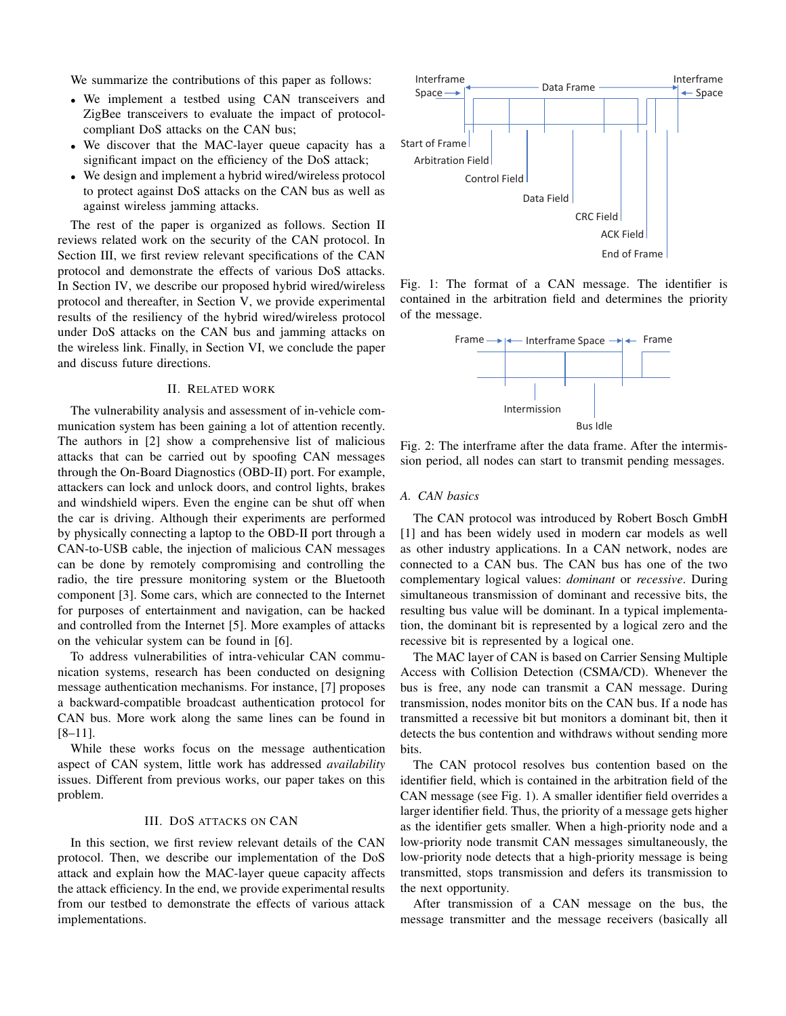We summarize the contributions of this paper as follows:

- We implement a testbed using CAN transceivers and ZigBee transceivers to evaluate the impact of protocolcompliant DoS attacks on the CAN bus;
- We discover that the MAC-layer queue capacity has a significant impact on the efficiency of the DoS attack;
- We design and implement a hybrid wired/wireless protocol to protect against DoS attacks on the CAN bus as well as against wireless jamming attacks.

The rest of the paper is organized as follows. Section II reviews related work on the security of the CAN protocol. In Section III, we first review relevant specifications of the CAN protocol and demonstrate the effects of various DoS attacks. In Section IV, we describe our proposed hybrid wired/wireless protocol and thereafter, in Section V, we provide experimental results of the resiliency of the hybrid wired/wireless protocol under DoS attacks on the CAN bus and jamming attacks on the wireless link. Finally, in Section VI, we conclude the paper and discuss future directions.

## II. RELATED WORK

The vulnerability analysis and assessment of in-vehicle communication system has been gaining a lot of attention recently. The authors in [2] show a comprehensive list of malicious attacks that can be carried out by spoofing CAN messages through the On-Board Diagnostics (OBD-II) port. For example, attackers can lock and unlock doors, and control lights, brakes and windshield wipers. Even the engine can be shut off when the car is driving. Although their experiments are performed by physically connecting a laptop to the OBD-II port through a CAN-to-USB cable, the injection of malicious CAN messages can be done by remotely compromising and controlling the radio, the tire pressure monitoring system or the Bluetooth component [3]. Some cars, which are connected to the Internet for purposes of entertainment and navigation, can be hacked and controlled from the Internet [5]. More examples of attacks on the vehicular system can be found in [6].

To address vulnerabilities of intra-vehicular CAN communication systems, research has been conducted on designing message authentication mechanisms. For instance, [7] proposes a backward-compatible broadcast authentication protocol for CAN bus. More work along the same lines can be found in [8–11].

While these works focus on the message authentication aspect of CAN system, little work has addressed *availability* issues. Different from previous works, our paper takes on this problem.

#### III. DOS ATTACKS ON CAN

In this section, we first review relevant details of the CAN protocol. Then, we describe our implementation of the DoS attack and explain how the MAC-layer queue capacity affects the attack efficiency. In the end, we provide experimental results from our testbed to demonstrate the effects of various attack implementations.



Fig. 1: The format of a CAN message. The identifier is contained in the arbitration field and determines the priority of the message.



Fig. 2: The interframe after the data frame. After the intermission period, all nodes can start to transmit pending messages.

## *A. CAN basics*

The CAN protocol was introduced by Robert Bosch GmbH [1] and has been widely used in modern car models as well as other industry applications. In a CAN network, nodes are connected to a CAN bus. The CAN bus has one of the two complementary logical values: *dominant* or *recessive*. During simultaneous transmission of dominant and recessive bits, the resulting bus value will be dominant. In a typical implementation, the dominant bit is represented by a logical zero and the recessive bit is represented by a logical one.

The MAC layer of CAN is based on Carrier Sensing Multiple Access with Collision Detection (CSMA/CD). Whenever the bus is free, any node can transmit a CAN message. During transmission, nodes monitor bits on the CAN bus. If a node has transmitted a recessive bit but monitors a dominant bit, then it detects the bus contention and withdraws without sending more bits.

The CAN protocol resolves bus contention based on the identifier field, which is contained in the arbitration field of the CAN message (see Fig. 1). A smaller identifier field overrides a larger identifier field. Thus, the priority of a message gets higher as the identifier gets smaller. When a high-priority node and a low-priority node transmit CAN messages simultaneously, the low-priority node detects that a high-priority message is being transmitted, stops transmission and defers its transmission to the next opportunity.

After transmission of a CAN message on the bus, the message transmitter and the message receivers (basically all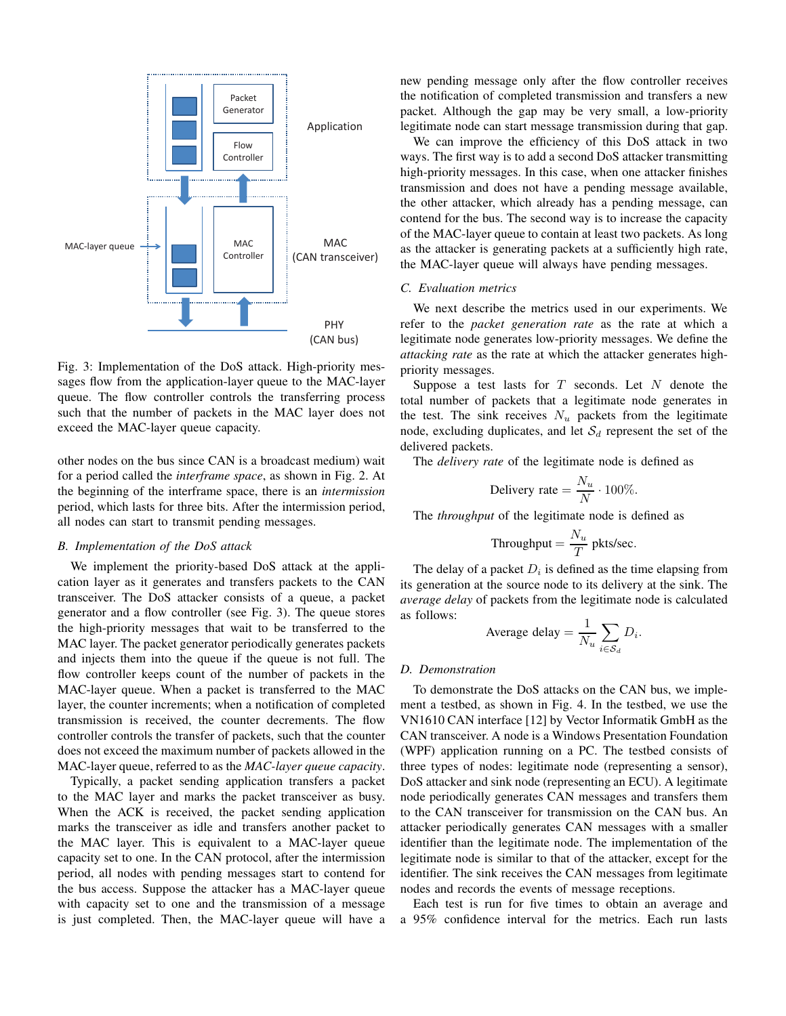

Fig. 3: Implementation of the DoS attack. High-priority messages flow from the application-layer queue to the MAC-layer queue. The flow controller controls the transferring process such that the number of packets in the MAC layer does not exceed the MAC-layer queue capacity.

other nodes on the bus since CAN is a broadcast medium) wait for a period called the *interframe space*, as shown in Fig. 2. At the beginning of the interframe space, there is an *intermission* period, which lasts for three bits. After the intermission period, all nodes can start to transmit pending messages.

#### *B. Implementation of the DoS attack*

We implement the priority-based DoS attack at the application layer as it generates and transfers packets to the CAN transceiver. The DoS attacker consists of a queue, a packet generator and a flow controller (see Fig. 3). The queue stores the high-priority messages that wait to be transferred to the MAC layer. The packet generator periodically generates packets and injects them into the queue if the queue is not full. The flow controller keeps count of the number of packets in the MAC-layer queue. When a packet is transferred to the MAC layer, the counter increments; when a notification of completed transmission is received, the counter decrements. The flow controller controls the transfer of packets, such that the counter does not exceed the maximum number of packets allowed in the MAC-layer queue, referred to as the *MAC-layer queue capacity*.

Typically, a packet sending application transfers a packet to the MAC layer and marks the packet transceiver as busy. When the ACK is received, the packet sending application marks the transceiver as idle and transfers another packet to the MAC layer. This is equivalent to a MAC-layer queue capacity set to one. In the CAN protocol, after the intermission period, all nodes with pending messages start to contend for the bus access. Suppose the attacker has a MAC-layer queue with capacity set to one and the transmission of a message is just completed. Then, the MAC-layer queue will have a

new pending message only after the flow controller receives the notification of completed transmission and transfers a new packet. Although the gap may be very small, a low-priority legitimate node can start message transmission during that gap.

We can improve the efficiency of this DoS attack in two ways. The first way is to add a second DoS attacker transmitting high-priority messages. In this case, when one attacker finishes transmission and does not have a pending message available, the other attacker, which already has a pending message, can contend for the bus. The second way is to increase the capacity of the MAC-layer queue to contain at least two packets. As long as the attacker is generating packets at a sufficiently high rate, the MAC-layer queue will always have pending messages.

### *C. Evaluation metrics*

We next describe the metrics used in our experiments. We refer to the *packet generation rate* as the rate at which a legitimate node generates low-priority messages. We define the *attacking rate* as the rate at which the attacker generates highpriority messages.

Suppose a test lasts for  $T$  seconds. Let  $N$  denote the total number of packets that a legitimate node generates in the test. The sink receives  $N_u$  packets from the legitimate node, excluding duplicates, and let  $S_d$  represent the set of the delivered packets.

The *delivery rate* of the legitimate node is defined as

$$
Delivery\ rate = \frac{N_u}{N} \cdot 100\%.
$$

The *throughput* of the legitimate node is defined as

Throughout = 
$$
\frac{N_u}{T}
$$
 pkts/sec.

The delay of a packet  $D_i$  is defined as the time elapsing from its generation at the source node to its delivery at the sink. The *average delay* of packets from the legitimate node is calculated as follows:

Average delay = 
$$
\frac{1}{N_u} \sum_{i \in S_d} D_i.
$$

#### *D. Demonstration*

To demonstrate the DoS attacks on the CAN bus, we implement a testbed, as shown in Fig. 4. In the testbed, we use the VN1610 CAN interface [12] by Vector Informatik GmbH as the CAN transceiver. A node is a Windows Presentation Foundation (WPF) application running on a PC. The testbed consists of three types of nodes: legitimate node (representing a sensor), DoS attacker and sink node (representing an ECU). A legitimate node periodically generates CAN messages and transfers them to the CAN transceiver for transmission on the CAN bus. An attacker periodically generates CAN messages with a smaller identifier than the legitimate node. The implementation of the legitimate node is similar to that of the attacker, except for the identifier. The sink receives the CAN messages from legitimate nodes and records the events of message receptions.

Each test is run for five times to obtain an average and a 95% confidence interval for the metrics. Each run lasts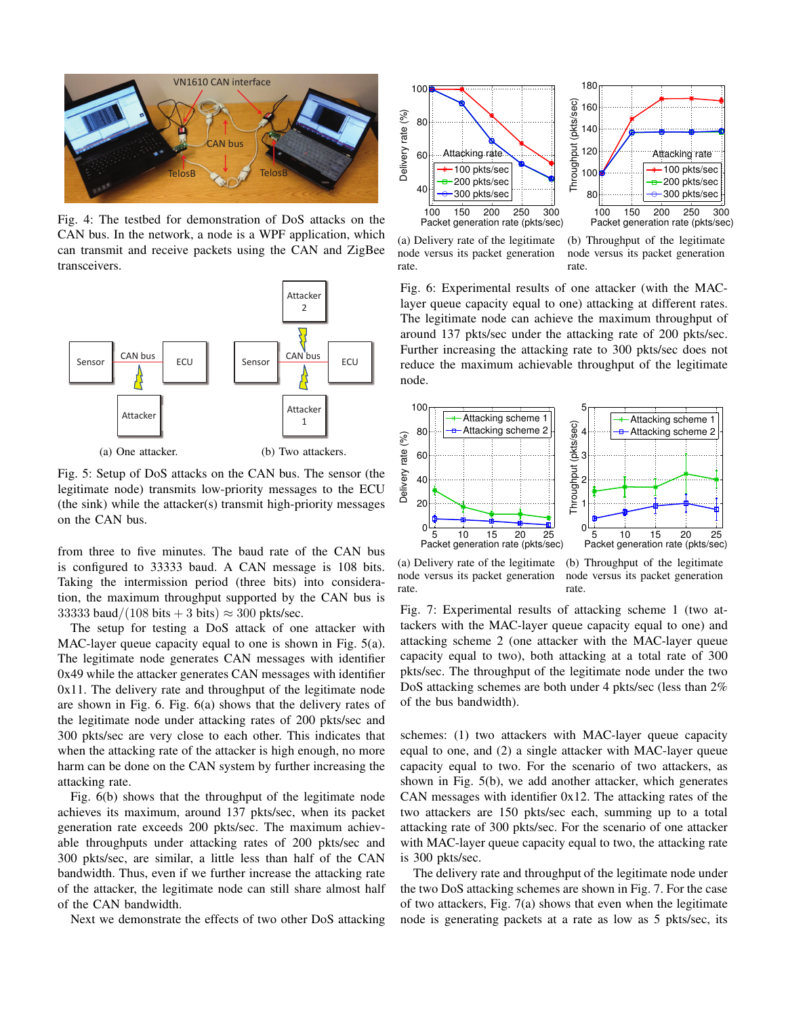

Fig. 4: The testbed for demonstration of DoS attacks on the CAN bus. In the network, a node is a WPF application, which can transmit and receive packets using the CAN and ZigBee transceivers.



Fig. 5: Setup of DoS attacks on the CAN bus. The sensor (the legitimate node) transmits low-priority messages to the ECU (the sink) while the attacker(s) transmit high-priority messages on the CAN bus.

from three to five minutes. The baud rate of the CAN bus is configured to 33333 baud. A CAN message is 108 bits. Taking the intermission period (three bits) into consideration, the maximum throughput supported by the CAN bus is 33333 baud/(108 bits + 3 bits)  $\approx$  300 pkts/sec.

The setup for testing a DoS attack of one attacker with MAC-layer queue capacity equal to one is shown in Fig. 5(a). The legitimate node generates CAN messages with identifier 0x49 while the attacker generates CAN messages with identifier 0x11. The delivery rate and throughput of the legitimate node are shown in Fig. 6. Fig. 6(a) shows that the delivery rates of the legitimate node under attacking rates of 200 pkts/sec and 300 pkts/sec are very close to each other. This indicates that when the attacking rate of the attacker is high enough, no more harm can be done on the CAN system by further increasing the attacking rate.

Fig. 6(b) shows that the throughput of the legitimate node achieves its maximum, around 137 pkts/sec, when its packet generation rate exceeds 200 pkts/sec. The maximum achievable throughputs under attacking rates of 200 pkts/sec and 300 pkts/sec, are similar, a little less than half of the CAN bandwidth. Thus, even if we further increase the attacking rate of the attacker, the legitimate node can still share almost half of the CAN bandwidth.

Next we demonstrate the effects of two other DoS attacking



(a) Delivery rate of the legitimate node versus its packet generation rate.

(b) Throughput of the legitimate node versus its packet generation rate.

Fig. 6: Experimental results of one attacker (with the MAClayer queue capacity equal to one) attacking at different rates. The legitimate node can achieve the maximum throughput of around 137 pkts/sec under the attacking rate of 200 pkts/sec. Further increasing the attacking rate to 300 pkts/sec does not reduce the maximum achievable throughput of the legitimate node.



(a) Delivery rate of the legitimate node versus its packet generation rate.

(b) Throughput of the legitimate node versus its packet generation rate.

Fig. 7: Experimental results of attacking scheme 1 (two attackers with the MAC-layer queue capacity equal to one) and attacking scheme 2 (one attacker with the MAC-layer queue capacity equal to two), both attacking at a total rate of 300 pkts/sec. The throughput of the legitimate node under the two DoS attacking schemes are both under 4 pkts/sec (less than 2% of the bus bandwidth).

schemes: (1) two attackers with MAC-layer queue capacity equal to one, and (2) a single attacker with MAC-layer queue capacity equal to two. For the scenario of two attackers, as shown in Fig. 5(b), we add another attacker, which generates CAN messages with identifier 0x12. The attacking rates of the two attackers are 150 pkts/sec each, summing up to a total attacking rate of 300 pkts/sec. For the scenario of one attacker with MAC-layer queue capacity equal to two, the attacking rate is 300 pkts/sec.

The delivery rate and throughput of the legitimate node under the two DoS attacking schemes are shown in Fig. 7. For the case of two attackers, Fig. 7(a) shows that even when the legitimate node is generating packets at a rate as low as 5 pkts/sec, its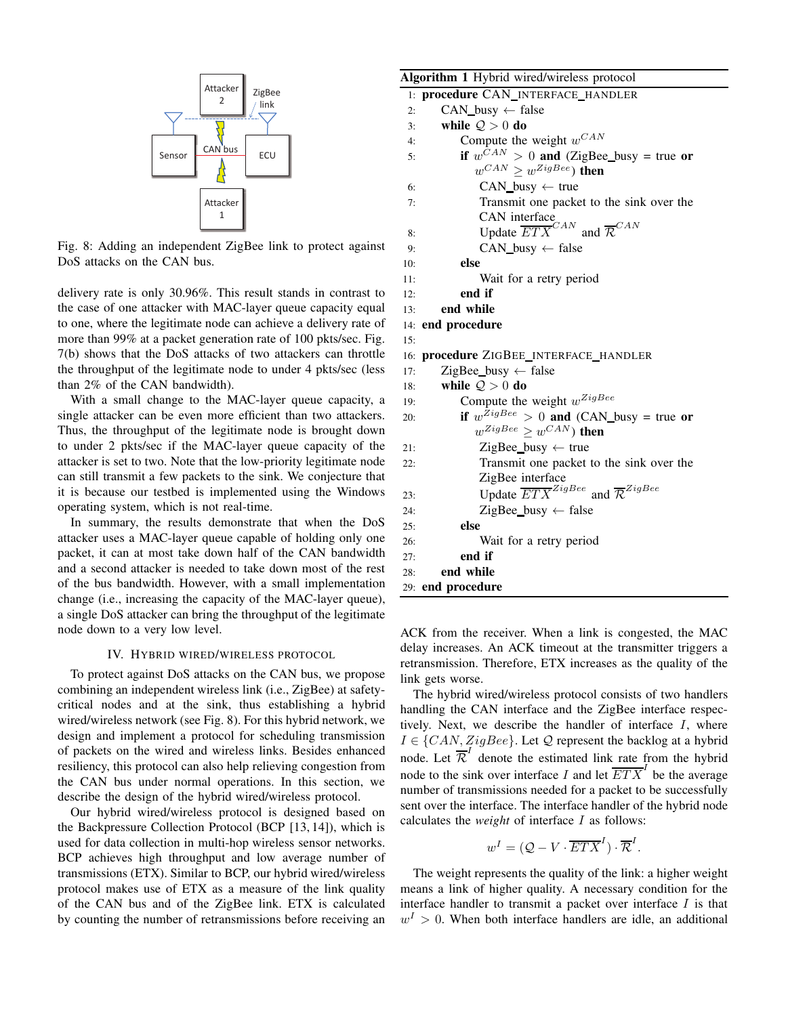

Fig. 8: Adding an independent ZigBee link to protect against DoS attacks on the CAN bus.

delivery rate is only 30.96%. This result stands in contrast to the case of one attacker with MAC-layer queue capacity equal to one, where the legitimate node can achieve a delivery rate of more than 99% at a packet generation rate of 100 pkts/sec. Fig. 7(b) shows that the DoS attacks of two attackers can throttle the throughput of the legitimate node to under 4 pkts/sec (less than 2% of the CAN bandwidth).

With a small change to the MAC-layer queue capacity, a single attacker can be even more efficient than two attackers. Thus, the throughput of the legitimate node is brought down to under 2 pkts/sec if the MAC-layer queue capacity of the attacker is set to two. Note that the low-priority legitimate node can still transmit a few packets to the sink. We conjecture that it is because our testbed is implemented using the Windows operating system, which is not real-time.

In summary, the results demonstrate that when the DoS attacker uses a MAC-layer queue capable of holding only one packet, it can at most take down half of the CAN bandwidth and a second attacker is needed to take down most of the rest of the bus bandwidth. However, with a small implementation change (i.e., increasing the capacity of the MAC-layer queue), a single DoS attacker can bring the throughput of the legitimate node down to a very low level.

### IV. HYBRID WIRED/WIRELESS PROTOCOL

To protect against DoS attacks on the CAN bus, we propose combining an independent wireless link (i.e., ZigBee) at safetycritical nodes and at the sink, thus establishing a hybrid wired/wireless network (see Fig. 8). For this hybrid network, we design and implement a protocol for scheduling transmission of packets on the wired and wireless links. Besides enhanced resiliency, this protocol can also help relieving congestion from the CAN bus under normal operations. In this section, we describe the design of the hybrid wired/wireless protocol.

Our hybrid wired/wireless protocol is designed based on the Backpressure Collection Protocol (BCP [13, 14]), which is used for data collection in multi-hop wireless sensor networks. BCP achieves high throughput and low average number of transmissions (ETX). Similar to BCP, our hybrid wired/wireless protocol makes use of ETX as a measure of the link quality of the CAN bus and of the ZigBee link. ETX is calculated by counting the number of retransmissions before receiving an

# Algorithm 1 Hybrid wired/wireless protocol

|     | 1: <b>procedure</b> CAN_INTERFACE_HANDLER                                         |
|-----|-----------------------------------------------------------------------------------|
| 2:  | $CAN_{\_\}$ busy $\leftarrow$ false                                               |
| 3:  | while $Q > 0$ do                                                                  |
| 4:  | Compute the weight $w^{CAN}$                                                      |
| 5:  | if $w^{CAN} > 0$ and (ZigBee_busy = true or                                       |
|     | $w^{CAN}\geq w^{ZigBee}$ ) then                                                   |
| 6:  | $CAN\_busy \leftarrow true$                                                       |
| 7:  | Transmit one packet to the sink over the                                          |
|     | CAN interface<br>Update $\overline{ETX}^{CAN}$ and $\overline{\mathcal{R}}^{CAN}$ |
| 8:  |                                                                                   |
| 9:  | $CAN_{\text{Jusy}} \leftarrow false$                                              |
| 10: | else                                                                              |
| 11: | Wait for a retry period                                                           |
| 12: | end if                                                                            |
| 13: | end while                                                                         |
|     | 14: end procedure                                                                 |
| 15: |                                                                                   |
|     | 16: procedure ZIGBEE_INTERFACE_HANDLER                                            |
| 17: | ZigBee_busy $\leftarrow$ false                                                    |
| 18: | while $Q > 0$ do                                                                  |
| 19: | Compute the weight $w^{ZigBee}$                                                   |
| 20: | if $w^{ZigBee} > 0$ and (CAN_busy = true or                                       |
|     | $w^{ZigBee} \geq w^{CAN}$ ) then                                                  |
| 21: | $ZigBee_busy \leftarrow true$                                                     |
| 22: | Transmit one packet to the sink over the                                          |
|     | ZigBee interface                                                                  |
| 23: | Update $\overline{ETX}^{ZigBee}$ and $\overline{\mathcal{R}}^{ZigBee}$            |
|     |                                                                                   |
| 24: | ZigBee_busy $\leftarrow$ false                                                    |
| 25: | else                                                                              |
| 26: | Wait for a retry period                                                           |
| 27: | end if                                                                            |
| 28: | end while                                                                         |

ACK from the receiver. When a link is congested, the MAC delay increases. An ACK timeout at the transmitter triggers a retransmission. Therefore, ETX increases as the quality of the link gets worse.

The hybrid wired/wireless protocol consists of two handlers handling the CAN interface and the ZigBee interface respectively. Next, we describe the handler of interface  $I$ , where  $I \in \{CAN, ZigBee\}$ . Let Q represent the backlog at a hybrid node. Let  $\overline{\mathcal{R}}^I$  denote the estimated link rate from the hybrid node to the sink over interface I and let  $\overline{ETX}^I$  be the average number of transmissions needed for a packet to be successfully sent over the interface. The interface handler of the hybrid node calculates the *weight* of interface I as follows:

$$
w^{I} = (Q - V \cdot \overline{ETX}^{I}) \cdot \overline{\mathcal{R}}^{I}.
$$

The weight represents the quality of the link: a higher weight means a link of higher quality. A necessary condition for the interface handler to transmit a packet over interface  $I$  is that  $w<sup>I</sup> > 0$ . When both interface handlers are idle, an additional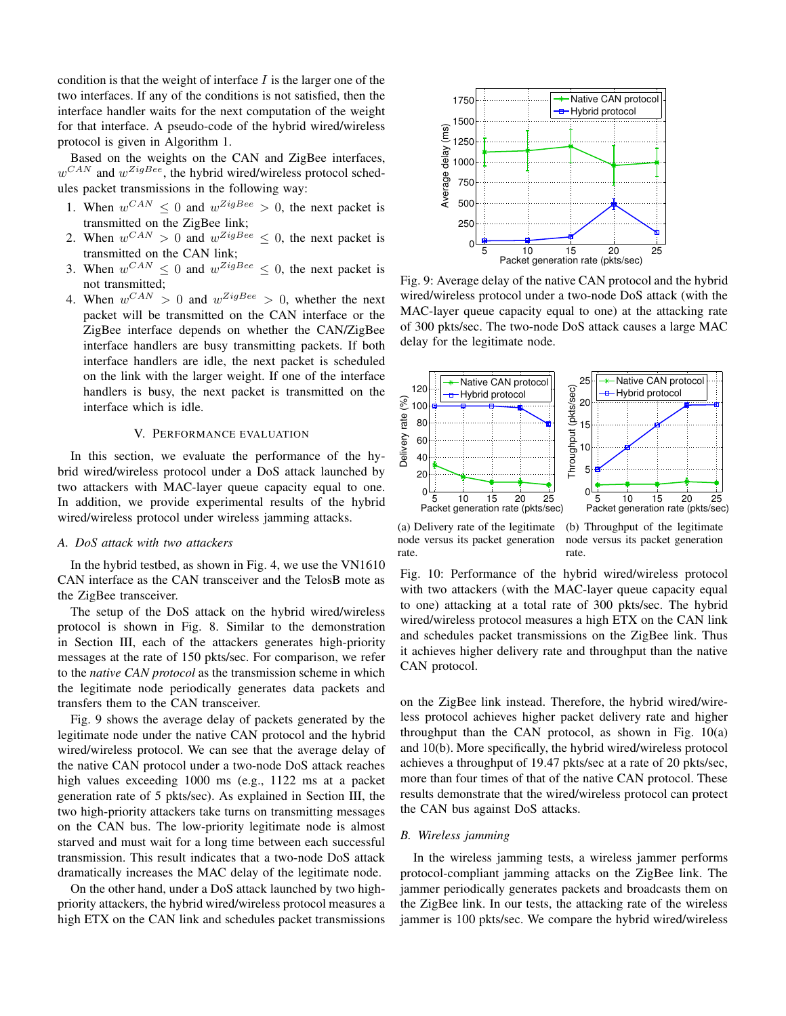condition is that the weight of interface  $I$  is the larger one of the two interfaces. If any of the conditions is not satisfied, then the interface handler waits for the next computation of the weight for that interface. A pseudo-code of the hybrid wired/wireless protocol is given in Algorithm 1.

Based on the weights on the CAN and ZigBee interfaces,  $w^{CAN}$  and  $w^{ZigBee}$ , the hybrid wired/wireless protocol schedules packet transmissions in the following way:

- 1. When  $w^{CAN} \leq 0$  and  $w^{ZigBee} > 0$ , the next packet is transmitted on the ZigBee link;
- 2. When  $w^{CAN} > 0$  and  $w^{ZigBee} \leq 0$ , the next packet is transmitted on the CAN link;
- 3. When  $w^{CAN} \leq 0$  and  $w^{ZigBee} \leq 0$ , the next packet is not transmitted;
- 4. When  $w^{CAN} > 0$  and  $w^{ZigBee} > 0$ , whether the next packet will be transmitted on the CAN interface or the ZigBee interface depends on whether the CAN/ZigBee interface handlers are busy transmitting packets. If both interface handlers are idle, the next packet is scheduled on the link with the larger weight. If one of the interface handlers is busy, the next packet is transmitted on the interface which is idle.

## V. PERFORMANCE EVALUATION

In this section, we evaluate the performance of the hybrid wired/wireless protocol under a DoS attack launched by two attackers with MAC-layer queue capacity equal to one. In addition, we provide experimental results of the hybrid wired/wireless protocol under wireless jamming attacks.

### *A. DoS attack with two attackers*

In the hybrid testbed, as shown in Fig. 4, we use the VN1610 CAN interface as the CAN transceiver and the TelosB mote as the ZigBee transceiver.

The setup of the DoS attack on the hybrid wired/wireless protocol is shown in Fig. 8. Similar to the demonstration in Section III, each of the attackers generates high-priority messages at the rate of 150 pkts/sec. For comparison, we refer to the *native CAN protocol* as the transmission scheme in which the legitimate node periodically generates data packets and transfers them to the CAN transceiver.

Fig. 9 shows the average delay of packets generated by the legitimate node under the native CAN protocol and the hybrid wired/wireless protocol. We can see that the average delay of the native CAN protocol under a two-node DoS attack reaches high values exceeding 1000 ms (e.g., 1122 ms at a packet generation rate of 5 pkts/sec). As explained in Section III, the two high-priority attackers take turns on transmitting messages on the CAN bus. The low-priority legitimate node is almost starved and must wait for a long time between each successful transmission. This result indicates that a two-node DoS attack dramatically increases the MAC delay of the legitimate node.

On the other hand, under a DoS attack launched by two highpriority attackers, the hybrid wired/wireless protocol measures a high ETX on the CAN link and schedules packet transmissions



Fig. 9: Average delay of the native CAN protocol and the hybrid wired/wireless protocol under a two-node DoS attack (with the MAC-layer queue capacity equal to one) at the attacking rate of 300 pkts/sec. The two-node DoS attack causes a large MAC delay for the legitimate node.



(a) Delivery rate of the legitimate node versus its packet generation rate.

(b) Throughput of the legitimate node versus its packet generation rate.

Fig. 10: Performance of the hybrid wired/wireless protocol with two attackers (with the MAC-layer queue capacity equal to one) attacking at a total rate of 300 pkts/sec. The hybrid wired/wireless protocol measures a high ETX on the CAN link and schedules packet transmissions on the ZigBee link. Thus it achieves higher delivery rate and throughput than the native CAN protocol.

on the ZigBee link instead. Therefore, the hybrid wired/wireless protocol achieves higher packet delivery rate and higher throughput than the CAN protocol, as shown in Fig. 10(a) and 10(b). More specifically, the hybrid wired/wireless protocol achieves a throughput of 19.47 pkts/sec at a rate of 20 pkts/sec, more than four times of that of the native CAN protocol. These results demonstrate that the wired/wireless protocol can protect the CAN bus against DoS attacks.

#### *B. Wireless jamming*

In the wireless jamming tests, a wireless jammer performs protocol-compliant jamming attacks on the ZigBee link. The jammer periodically generates packets and broadcasts them on the ZigBee link. In our tests, the attacking rate of the wireless jammer is 100 pkts/sec. We compare the hybrid wired/wireless